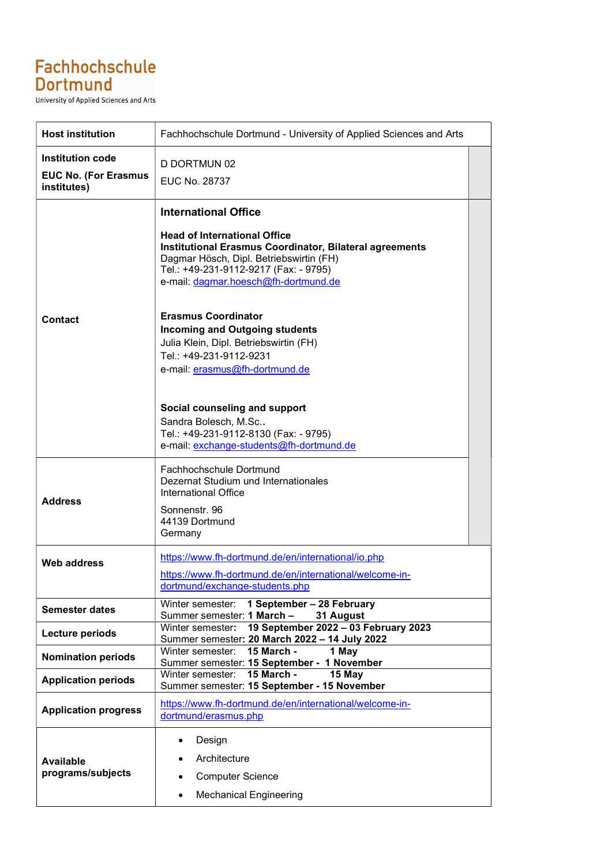## Fachhochschule **Dortmund**

University of Applied Sciences and Arts

| <b>Host institution</b>                                               | Fachhochschule Dortmund - University of Applied Sciences and Arts                                                                                                                                                                                                                              |  |
|-----------------------------------------------------------------------|------------------------------------------------------------------------------------------------------------------------------------------------------------------------------------------------------------------------------------------------------------------------------------------------|--|
| <b>Institution code</b><br><b>EUC No. (For Erasmus</b><br>institutes) | D DORTMUN 02<br><b>EUC No. 28737</b>                                                                                                                                                                                                                                                           |  |
| <b>Contact</b>                                                        | <b>International Office</b><br><b>Head of International Office</b><br><b>Institutional Erasmus Coordinator, Bilateral agreements</b><br>Dagmar Hösch, Dipl. Betriebswirtin (FH)<br>Tel.: +49-231-9112-9217 (Fax: - 9795)<br>e-mail: dagmar.hoesch@fh-dortmund.de<br><b>Erasmus Coordinator</b> |  |
|                                                                       | <b>Incoming and Outgoing students</b><br>Julia Klein, Dipl. Betriebswirtin (FH)<br>Tel.: +49-231-9112-9231<br>e-mail: erasmus@fh-dortmund.de<br>Social counseling and support<br>Sandra Bolesch, M.Sc<br>Tel.: +49-231-9112-8130 (Fax: - 9795)<br>e-mail: exchange-students@fh-dortmund.de     |  |
| <b>Address</b>                                                        | Fachhochschule Dortmund<br>Dezernat Studium und Internationales<br><b>International Office</b><br>Sonnenstr. 96<br>44139 Dortmund<br>Germany                                                                                                                                                   |  |
| <b>Web address</b>                                                    | https://www.fh-dortmund.de/en/international/io.php<br>https://www.fh-dortmund.de/en/international/welcome-in-<br>dortmund/exchange-students.php                                                                                                                                                |  |
| <b>Semester dates</b>                                                 | 1 September - 28 February<br>Winter semester:<br>Summer semester: 1 March -<br>31 August                                                                                                                                                                                                       |  |
| Lecture periods                                                       | Winter semester: 19 September 2022 - 03 February 2023<br>Summer semester: 20 March 2022 - 14 July 2022                                                                                                                                                                                         |  |
| <b>Nomination periods</b>                                             | <b>15 March -</b><br>Winter semester:<br>1 May<br>Summer semester: 15 September - 1 November                                                                                                                                                                                                   |  |
| <b>Application periods</b>                                            | <b>15 March -</b><br>Winter semester:<br>15 May<br>Summer semester: 15 September - 15 November                                                                                                                                                                                                 |  |
| <b>Application progress</b>                                           | https://www.fh-dortmund.de/en/international/welcome-in-<br>dortmund/erasmus.php                                                                                                                                                                                                                |  |
| <b>Available</b><br>programs/subjects                                 | Design<br>$\bullet$<br>Architecture<br><b>Computer Science</b><br>$\bullet$<br><b>Mechanical Engineering</b><br>$\bullet$                                                                                                                                                                      |  |